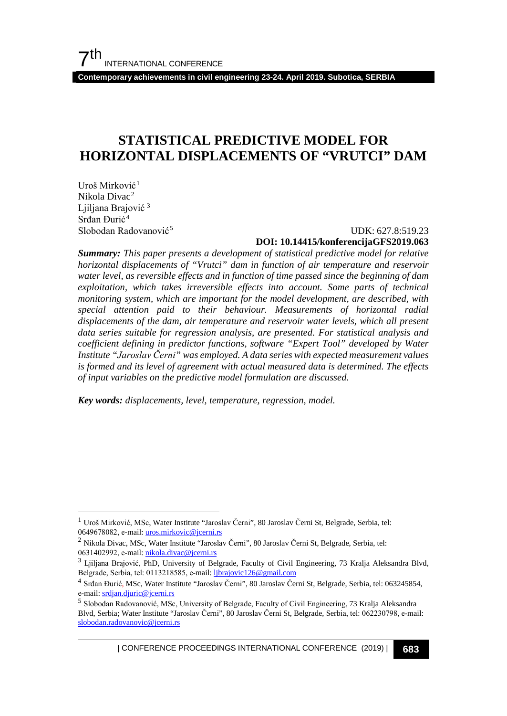**Contemporary achievements in civil engineering 23-24. April 2019. Subotica, SERBIA**

# **STATISTICAL PREDICTIVE MODEL FOR HORIZONTAL DISPLACEMENTS OF "VRUTCI" DAM**

Uroš Mirković[1](#page-0-0) Nikola Divac[2](#page-0-1) Ljiljana Brajović<sup>[3](#page-0-2)</sup> Srđan Đurić<sup>[4](#page-0-3)</sup>

#### Slobodan Radovanović[5](#page-0-4) UDK: 627.8:519.23 **DOI: 10.14415/konferencijaGFS2019.063**

*Summary: This paper presents a development of statistical predictive model for relative horizontal displacements of "Vrutci" dam in function of air temperature and reservoir water level, as reversible effects and in function of time passed since the beginning of dam exploitation, which takes irreversible effects into account. Some parts of technical monitoring system, which are important for the model development, are described, with special attention paid to their behaviour. Measurements of horizontal radial displacements of the dam, air temperature and reservoir water levels, which all present data series suitable for regression analysis, are presented. For statistical analysis and coefficient defining in predictor functions, software "Expert Tool" developed by Water Institute "Jaroslav Černi" was employed. A data series with expected measurement values is formed and its level of agreement with actual measured data is determined. The effects of input variables on the predictive model formulation are discussed.*

*Key words: displacements, level, temperature, regression, model.*

<span id="page-0-0"></span> <sup>1</sup> Uroš Mirković, MSc, Water Institute "Jaroslav Černi", 80 Jaroslav Černi St, Belgrade, Serbia, tel: 0649678082, е-mail: uros.mirkovic@jcerni.rs

<span id="page-0-1"></span><sup>2</sup> Nikola Divac, MSc, Water Institute "Jaroslav Černi", 80 Jaroslav Černi St, Belgrade, Serbia, tel: 0631402992, е-mail: nikola.divac@jcerni.rs

<span id="page-0-2"></span><sup>&</sup>lt;sup>3</sup> Ljiljana Brajović, PhD, University of Belgrade, Faculty of Civil Engineering, 73 Kralja Aleksandra Blvd, Belgrade, Serbia, tel: 0113218585, е-mail: ljbrajovic126@gmail.com

<span id="page-0-3"></span><sup>4</sup> Srđan Đurić, MSc, Water Institute "Jaroslav Černi", 80 Jaroslav Černi St, Belgrade, Serbia, tel: 063245854, е-mail: srdjan.djuric@jcerni.rs

<span id="page-0-4"></span><sup>5</sup> Slobodan Radovanović, MSc, University of Belgrade, Faculty of Civil Engineering, 73 Kralja Aleksandra Blvd, Serbia; Water Institute "Jaroslav Černi", 80 Jaroslav Černi St, Belgrade, Serbia, tel: 062230798, е-mail: slobodan.radovanovic@jcerni.rs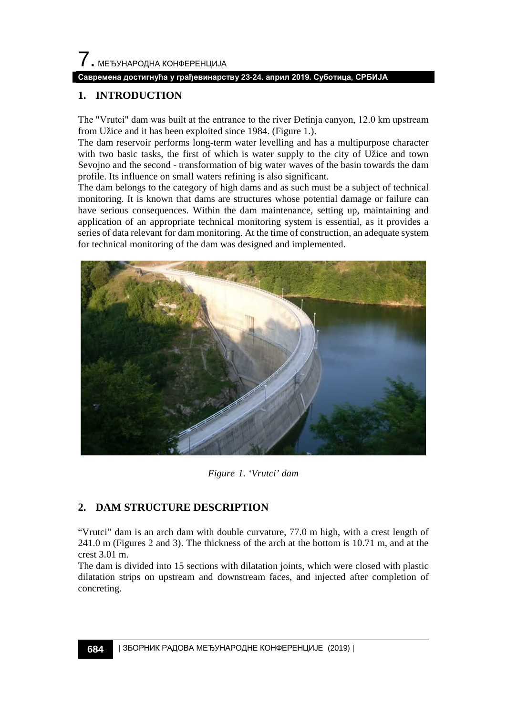#### **Савремена достигнућа у грађевинарству 23-24. април 2019. Суботица, СРБИЈА**

## **1. INTRODUCTION**

The "Vrutci" dam was built at the entrance to the river Đetinja canyon, 12.0 km upstream from Užice and it has been exploited since 1984. (Figure 1.).

The dam reservoir performs long-term water levelling and has a multipurpose character with two basic tasks, the first of which is water supply to the city of Užice and town Sevojno and the second - transformation of big water waves of the basin towards the dam profile. Its influence on small waters refining is also significant.

The dam belongs to the category of high dams and as such must be a subject of technical monitoring. It is known that dams are structures whose potential damage or failure can have serious consequences. Within the dam maintenance, setting up, maintaining and application of an appropriate technical monitoring system is essential, as it provides a series of data relevant for dam monitoring. At the time of construction, an adequate system for technical monitoring of the dam was designed and implemented.



*Figure 1. 'Vrutci' dam*

# **2. DAM STRUCTURE DESCRIPTION**

"Vrutci" dam is an arch dam with double curvature, 77.0 m high, with a crest length of 241.0 m (Figures 2 and 3). The thickness of the arch at the bottom is 10.71 m, and at the crest 3.01 m.

The dam is divided into 15 sections with dilatation joints, which were closed with plastic dilatation strips on upstream and downstream faces, and injected after completion of concreting.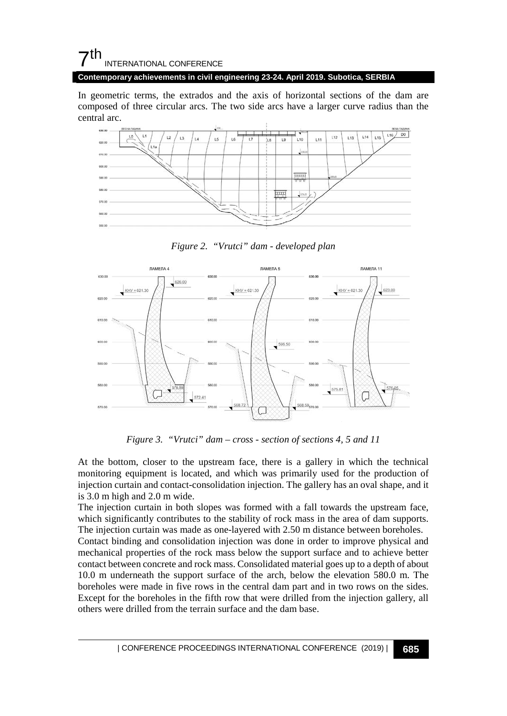# $\mathsf{\Sigma}^{\mathsf{th}}$ INTERNATIONAL CONFERENCE

**Contemporary achievements in civil engineering 23-24. April 2019. Subotica, SERBIA**

In geometric terms, the extrados and the axis of horizontal sections of the dam are composed of three circular arcs. The two side arcs have a larger curve radius than the central arc.



*Figure 2. "Vrutci" dam - developed plan*



*Figure 3. "Vrutci" dam – cross - section of sections 4, 5 and 11*

At the bottom, closer to the upstream face, there is a gallery in which the technical monitoring equipment is located, and which was primarily used for the production of injection curtain and contact-consolidation injection. The gallery has an oval shape, and it is 3.0 m high and 2.0 m wide.

The injection curtain in both slopes was formed with a fall towards the upstream face, which significantly contributes to the stability of rock mass in the area of dam supports. The injection curtain was made as one-layered with 2.50 m distance between boreholes.

Contact binding and consolidation injection was done in order to improve physical and mechanical properties of the rock mass below the support surface and to achieve better contact between concrete and rock mass. Consolidated material goes up to a depth of about 10.0 m underneath the support surface of the arch, below the elevation 580.0 m. The boreholes were made in five rows in the central dam part and in two rows on the sides. Except for the boreholes in the fifth row that were drilled from the injection gallery, all others were drilled from the terrain surface and the dam base.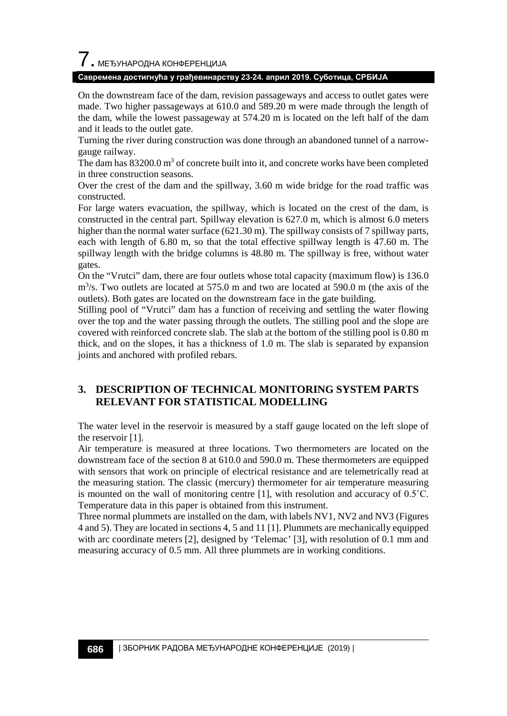$\overline{\phantom{a}}$ . МЕЂУНАРОДНА КОНФЕРЕНЦИЈА

#### **Савремена достигнућа у грађевинарству 23-24. април 2019. Суботица, СРБИЈА**

On the downstream face of the dam, revision passageways and access to outlet gates were made. Two higher passageways at 610.0 and 589.20 m were made through the length of the dam, while the lowest passageway at 574.20 m is located on the left half of the dam and it leads to the outlet gate.

Turning the river during construction was done through an abandoned tunnel of a narrowgauge railway.

The dam has  $83200.0 \text{ m}^3$  of concrete built into it, and concrete works have been completed in three construction seasons.

Over the crest of the dam and the spillway, 3.60 m wide bridge for the road traffic was constructed.

For large waters evacuation, the spillway, which is located on the crest of the dam, is constructed in the central part. Spillway elevation is 627.0 m, which is almost 6.0 meters higher than the normal water surface (621.30 m). The spillway consists of 7 spillway parts, each with length of 6.80 m, so that the total effective spillway length is 47.60 m. The spillway length with the bridge columns is 48.80 m. The spillway is free, without water gates.

On the "Vrutci" dam, there are four outlets whose total capacity (maximum flow) is 136.0 m<sup>3</sup>/s. Two outlets are located at 575.0 m and two are located at 590.0 m (the axis of the outlets). Both gates are located on the downstream face in the gate building.

Stilling pool of "Vrutci" dam has a function of receiving and settling the water flowing over the top and the water passing through the outlets. The stilling pool and the slope are covered with reinforced concrete slab. The slab at the bottom of the stilling pool is 0.80 m thick, and on the slopes, it has a thickness of 1.0 m. The slab is separated by expansion joints and anchored with profiled rebars.

## **3. DESCRIPTION OF TECHNICAL MONITORING SYSTEM PARTS RELEVANT FOR STATISTICAL MODELLING**

The water level in the reservoir is measured by a staff gauge located on the left slope of the reservoir [1].

Air temperature is measured at three locations. Two thermometers are located on the downstream face of the section 8 at 610.0 and 590.0 m. These thermometers are equipped with sensors that work on principle of electrical resistance and are telemetrically read at the measuring station. The classic (mercury) thermometer for air temperature measuring is mounted on the wall of monitoring centre  $[1]$ , with resolution and accuracy of 0.5 $^{\circ}$ C. Temperature data in this paper is obtained from this instrument.

Three normal plummets are installed on the dam, with labels NV1, NV2 and NV3 (Figures 4 and 5). They are located in sections 4, 5 and 11 [1]. Plummets are mechanically equipped with arc coordinate meters [2], designed by 'Telemac' [3], with resolution of 0.1 mm and measuring accuracy of 0.5 mm. All three plummets are in working conditions.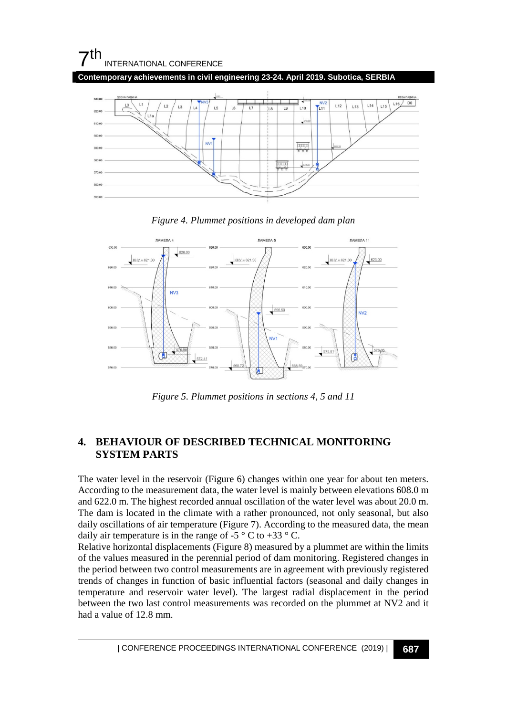# 7th INTERNATIONAL CONFERENCE

**Contemporary achievements in civil engineering 23-24. April 2019. Subotica, SERBIA**







*Figure 5. Plummet positions in sections 4, 5 and 11*

# **4. BEHAVIOUR OF DESCRIBED TECHNICAL MONITORING SYSTEM PARTS**

The water level in the reservoir (Figure 6) changes within one year for about ten meters. According to the measurement data, the water level is mainly between elevations 608.0 m and 622.0 m. The highest recorded annual oscillation of the water level was about 20.0 m. The dam is located in the climate with a rather pronounced, not only seasonal, but also daily oscillations of air temperature (Figure 7). According to the measured data, the mean daily air temperature is in the range of -5  $\degree$  C to +33  $\degree$  C.

Relative horizontal displacements (Figure 8) measured by a plummet are within the limits of the values measured in the perennial period of dam monitoring. Registered changes in the period between two control measurements are in agreement with previously registered trends of changes in function of basic influential factors (seasonal and daily changes in temperature and reservoir water level). The largest radial displacement in the period between the two last control measurements was recorded on the plummet at NV2 and it had a value of 12.8 mm.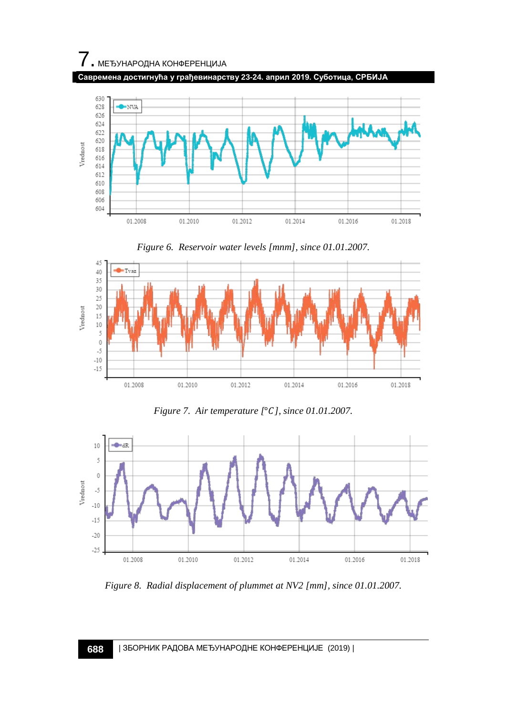

**Савремена достигнућа у грађевинарству 23-24. април 2019. Суботица, СРБИЈА**



*Figure 6. Reservoir water levels [mnm], since 01.01.2007.*



*Figure 7. Air temperature [*°*], since 01.01.2007.*



*Figure 8. Radial displacement of plummet at NV2 [mm], since 01.01.2007.*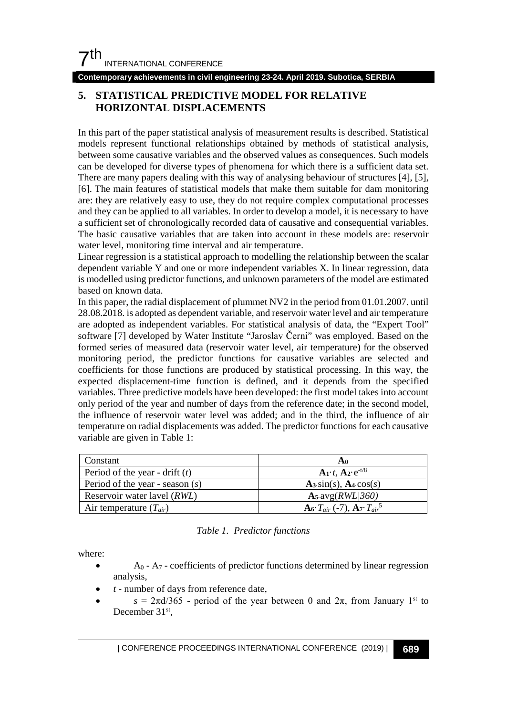**Contemporary achievements in civil engineering 23-24. April 2019. Subotica, SERBIA**

## **5. STATISTICAL PREDICTIVE MODEL FOR RELATIVE HORIZONTAL DISPLACEMENTS**

In this part of the paper statistical analysis of measurement results is described. Statistical models represent functional relationships obtained by methods of statistical analysis, between some causative variables and the observed values as consequences. Such models can be developed for diverse types of phenomena for which there is a sufficient data set. There are many papers dealing with this way of analysing behaviour of structures [4], [5], [6]. The main features of statistical models that make them suitable for dam monitoring are: they are relatively easy to use, they do not require complex computational processes and they can be applied to all variables. In order to develop a model, it is necessary to have a sufficient set of chronologically recorded data of causative and consequential variables. The basic causative variables that are taken into account in these models are: reservoir water level, monitoring time interval and air temperature.

Linear regression is a statistical approach to modelling the relationship between the scalar dependent variable Y and one or more independent variables X. In linear regression, data is modelled using predictor functions, and unknown parameters of the model are estimated based on known data.

In this paper, the radial displacement of plummet NV2 in the period from 01.01.2007. until 28.08.2018. is adopted as dependent variable, and reservoir water level and air temperature are adopted as independent variables. For statistical analysis of data, the "Expert Tool" software [7] developed by Water Institute "Jaroslav Černi" was employed. Based on the formed series of measured data (reservoir water level, air temperature) for the observed monitoring period, the predictor functions for causative variables are selected and coefficients for those functions are produced by statistical processing. In this way, the expected displacement-time function is defined, and it depends from the specified variables. Three predictive models have been developed: the first model takes into account only period of the year and number of days from the reference date; in the second model, the influence of reservoir water level was added; and in the third, the influence of air temperature on radial displacements was added. The predictor functions for each causative variable are given in Table 1:

| Constant                          | Ao                                                     |
|-----------------------------------|--------------------------------------------------------|
| Period of the year - drift $(t)$  | $\mathbf{A_1} \cdot t$ , $\mathbf{A_2} \cdot e^{-t/8}$ |
| Period of the year - season $(s)$ | $A_3 \sin(s)$ , $A_4 \cos(s)$                          |
| Reservoir water lavel (RWL)       | $A_5$ avg $(RWL/360)$                                  |
| Air temperature $(T_{air})$       | $A_6 \cdot T_{air}$ (-7), $A_7 \cdot T_{air}^5$        |

#### *Table 1. Predictor functions*

where:

- $A_0$   $A_7$  coefficients of predictor functions determined by linear regression analysis,
- *t* number of days from reference date,
- $s = 2\pi d/365$  period of the year between 0 and  $2\pi$ , from January 1<sup>st</sup> to December 31<sup>st</sup>,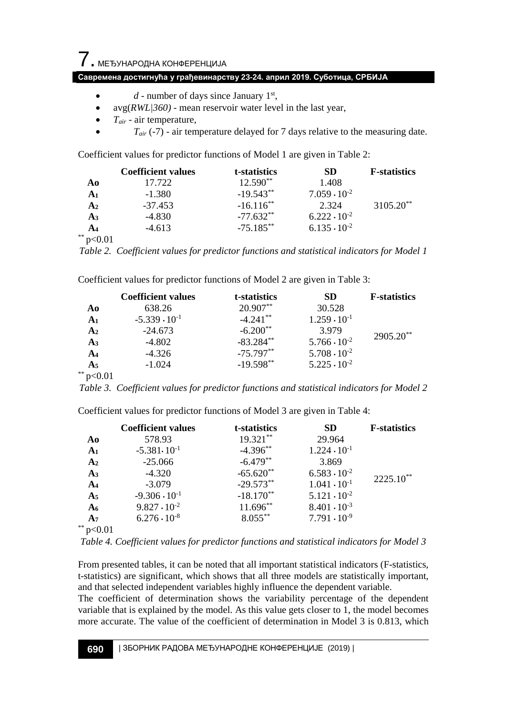## **Савремена достигнућа у грађевинарству 23-24. април 2019. Суботица, СРБИЈА**

- $\bullet$  *d* number of days since January 1<sup>st</sup>,
- avg(*RWL|360)* mean reservoir water level in the last year,
- *Tair* air temperature,
- $T_{air}$  (-7) air temperature delayed for 7 days relative to the measuring date.

Coefficient values for predictor functions of Model 1 are given in Table 2:

|                             | <b>Coefficient values</b> | t-statistics | <b>SD</b>             | <b>F</b> -statistics  |
|-----------------------------|---------------------------|--------------|-----------------------|-----------------------|
| A0                          | 17.722                    | $12.590**$   | 1.408                 |                       |
| A1                          | $-1.380$                  | $-19.543**$  | $7.059 \cdot 10^{-2}$ |                       |
| A <sub>2</sub>              | $-37.453$                 | $-16.116**$  | 2.324                 | 3105.20 <sup>**</sup> |
| A <sub>3</sub>              | $-4.830$                  | $-77.632**$  | $6.222 \cdot 10^{-2}$ |                       |
| A <sub>4</sub>              | $-4.613$                  | $-75.185**$  | $6.135 \cdot 10^{-2}$ |                       |
| $\sim$ $\sim$ $\sim$ $\sim$ |                           |              |                       |                       |

 $*$  p<0.01

*Table 2. Coefficient values for predictor functions and statistical indicators for Model 1*

Coefficient values for predictor functions of Model 2 are given in Table 3:

|                | <b>Coefficient values</b> | t-statistics | SD                    | <b>F</b> -statistics |
|----------------|---------------------------|--------------|-----------------------|----------------------|
| A0             | 638.26                    | $20.907**$   | 30.528                | $2905.20**$          |
| A <sub>1</sub> | $-5.339 \cdot 10^{-1}$    | $-4.241**$   | $1.259 \cdot 10^{-1}$ |                      |
| A <sub>2</sub> | $-24.673$                 | $-6.200**$   | 3.979                 |                      |
| $A_3$          | $-4.802$                  | $-83.284**$  | $5.766 \cdot 10^{-2}$ |                      |
| A <sub>4</sub> | $-4.326$                  | $-75.797**$  | $5.708 \cdot 10^{-2}$ |                      |
| A5             | $-1.024$                  | $-19.598**$  | $5.225 \cdot 10^{-2}$ |                      |
| **             |                           |              |                       |                      |

*Table 3. Coefficient values for predictor functions and statistical indicators for Model 2*

|                 | <b>Coefficient values</b> | t-statistics | <b>SD</b>             | <b>F</b> -statistics |
|-----------------|---------------------------|--------------|-----------------------|----------------------|
| Ao              | 578.93                    | 19.321**     | 29.964                | $2225.10**$          |
| A <sub>1</sub>  | $-5.381 \cdot 10^{-1}$    | $-4.396**$   | $1.224 \cdot 10^{-1}$ |                      |
| A <sub>2</sub>  | $-25.066$                 | $-6.479**$   | 3.869                 |                      |
| A <sub>3</sub>  | $-4.320$                  | $-65.620**$  | $6.583 \cdot 10^{-2}$ |                      |
| A <sub>4</sub>  | $-3.079$                  | $-29.573**$  | $1.041 \cdot 10^{-1}$ |                      |
| A <sub>5</sub>  | $-9.306 \cdot 10^{-1}$    | $-18.170**$  | $5.121 \cdot 10^{-2}$ |                      |
| A <sub>6</sub>  | $9.827 \cdot 10^{-2}$     | $11.696**$   | $8.401 \cdot 10^{-3}$ |                      |
| A <sub>7</sub>  | $6.276 \cdot 10^{-8}$     | $8.055***$   | $7.791 \cdot 10^{-9}$ |                      |
| $*$ $\sim$ 0.01 |                           |              |                       |                      |

Coefficient values for predictor functions of Model 3 are given in Table 4:

\*\* p<0.01

*Table 4. Coefficient values for predictor functions and statistical indicators for Model 3*

From presented tables, it can be noted that all important statistical indicators (F-statistics, t-statistics) are significant, which shows that all three models are statistically important, and that selected independent variables highly influence the dependent variable.

The coefficient of determination shows the variability percentage of the dependent variable that is explained by the model. As this value gets closer to 1, the model becomes more accurate. The value of the coefficient of determination in Model 3 is 0.813, which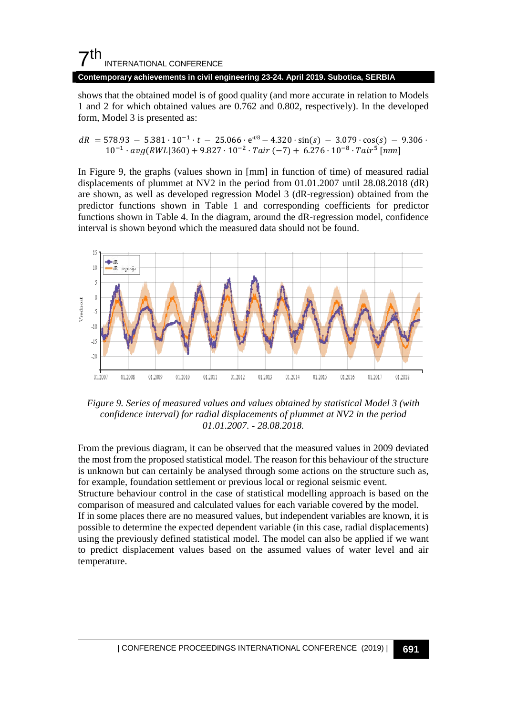# $7<sup>th</sup>$ INTERNATIONAL CONFERENCE

#### **Contemporary achievements in civil engineering 23-24. April 2019. Subotica, SERBIA**

shows that the obtained model is of good quality (and more accurate in relation to Models 1 and 2 for which obtained values are 0.762 and 0.802, respectively). In the developed form, Model 3 is presented as:

 $dR = 578.93 - 5.381 \cdot 10^{-1} \cdot t - 25.066 \cdot e^{-t/8} - 4.320 \cdot \sin(s) - 3.079 \cdot \cos(s) - 9.306 \cdot$  $10^{-1} \cdot avg(RWL|360) + 9.827 \cdot 10^{-2} \cdot Tair(-7) + 6.276 \cdot 10^{-8} \cdot Tair^5$  [mm]

In Figure 9, the graphs (values shown in [mm] in function of time) of measured radial displacements of plummet at NV2 in the period from 01.01.2007 until 28.08.2018 (dR) are shown, as well as developed regression Model 3 (dR-regression) obtained from the predictor functions shown in Table 1 and corresponding coefficients for predictor functions shown in Table 4. In the diagram, around the dR-regression model, confidence interval is shown beyond which the measured data should not be found.



*Figure 9. Series of measured values and values obtained by statistical Model 3 (with confidence interval) for radial displacements of plummet at NV2 in the period 01.01.2007. - 28.08.2018.*

From the previous diagram, it can be observed that the measured values in 2009 deviated the most from the proposed statistical model. The reason for this behaviour of the structure is unknown but can certainly be analysed through some actions on the structure such as, for example, foundation settlement or previous local or regional seismic event. Structure behaviour control in the case of statistical modelling approach is based on the comparison of measured and calculated values for each variable covered by the model. If in some places there are no measured values, but independent variables are known, it is possible to determine the expected dependent variable (in this case, radial displacements) using the previously defined statistical model. The model can also be applied if we want to predict displacement values based on the assumed values of water level and air temperature.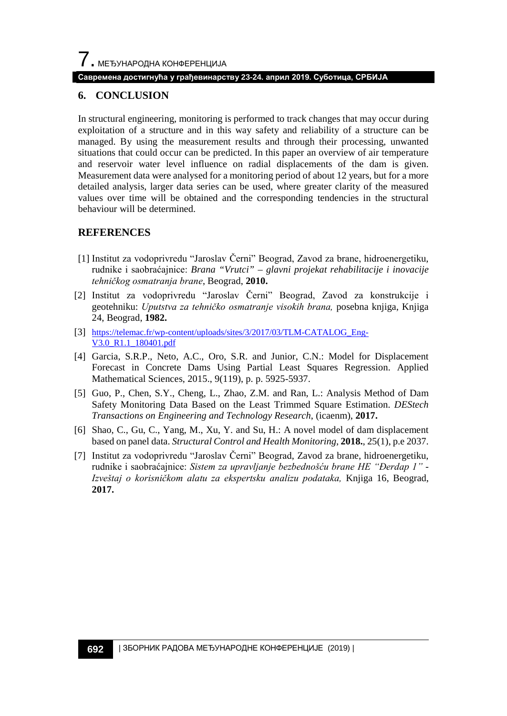#### **Савремена достигнућа у грађевинарству 23-24. април 2019. Суботица, СРБИЈА**

### **6. CONCLUSION**

In structural engineering, monitoring is performed to track changes that may occur during exploitation of a structure and in this way safety and reliability of a structure can be managed. By using the measurement results and through their processing, unwanted situations that could occur can be predicted. In this paper an overview of air temperature and reservoir water level influence on radial displacements of the dam is given. Measurement data were analysed for a monitoring period of about 12 years, but for a more detailed analysis, larger data series can be used, where greater clarity of the measured values over time will be obtained and the corresponding tendencies in the structural behaviour will be determined.

### **REFERENCES**

- [1] Institut za vodoprivredu "Jaroslav Černi" Beograd, Zavod za brane, hidroenergetiku, rudnike i saobraćajnice: *Brana "Vrutci" – glavni projekat rehabilitacije i inovacije tehničkog osmatranja brane*, Beograd, **2010.**
- [2] Institut za vodoprivredu "Jaroslav Černi" Beograd, Zavod za konstrukcije i geotehniku: *Uputstva za tehničko osmatranje visokih brana,* posebna knjiga, Knjiga 24, Beograd, **1982.**
- [3] [https://telemac.fr/wp-content/uploads/sites/3/2017/03/TLM-CATALOG\\_Eng-](https://telemac.fr/wp-content/uploads/sites/3/2017/03/TLM-CATALOG_Eng-V3.0_R1.1_180401.pdf)[V3.0\\_R1.1\\_180401.pdf](https://telemac.fr/wp-content/uploads/sites/3/2017/03/TLM-CATALOG_Eng-V3.0_R1.1_180401.pdf)
- [4] Garcia, S.R.P., Neto, A.C., Oro, S.R. and Junior, C.N.: Model for Displacement Forecast in Concrete Dams Using Partial Least Squares Regression. Applied Mathematical Sciences, 2015., 9(119), p. p. 5925-5937.
- [5] Guo, P., Chen, S.Y., Cheng, L., Zhao, Z.M. and Ran, L.: Analysis Method of Dam Safety Monitoring Data Based on the Least Trimmed Square Estimation. *DEStech Transactions on Engineering and Technology Research*, (icaenm), **2017.**
- [6] Shao, C., Gu, C., Yang, M., Xu, Y. and Su, H.: A novel model of dam displacement based on panel data. *Structural Control and Health Monitoring*, **2018.**, 25(1), p.e 2037.
- [7] Institut za vodoprivredu "Jaroslav Černi" Beograd, Zavod za brane, hidroenergetiku, rudnike i saobraćajnice: *Sistem za upravljanje bezbednošću brane HE "Đerdap 1" - Izveštaj o korisničkom alatu za ekspertsku analizu podataka,* Knjiga 16, Beograd, **2017.**